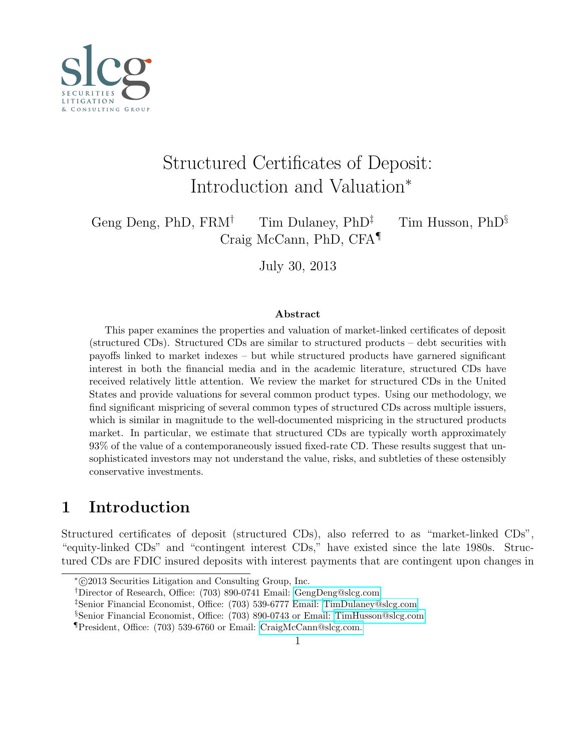<span id="page-0-0"></span>

# Structured Certificates of Deposit: Introduction and Valuation<sup>∗</sup>

Geng Deng, PhD, FRM<sup>†</sup> Tim Dulaney, PhD<sup>‡</sup> Tim Husson, PhD<sup>§</sup> Craig McCann, PhD, CFA¶

July 30, 2013

#### Abstract

This paper examines the properties and valuation of market-linked certificates of deposit (structured CDs). Structured CDs are similar to structured products – debt securities with payoffs linked to market indexes – but while structured products have garnered significant interest in both the financial media and in the academic literature, structured CDs have received relatively little attention. We review the market for structured CDs in the United States and provide valuations for several common product types. Using our methodology, we find significant mispricing of several common types of structured CDs across multiple issuers, which is similar in magnitude to the well-documented mispricing in the structured products market. In particular, we estimate that structured CDs are typically worth approximately 93% of the value of a contemporaneously issued fixed-rate CD. These results suggest that unsophisticated investors may not understand the value, risks, and subtleties of these ostensibly conservative investments.

## 1 Introduction

Structured certificates of deposit (structured CDs), also referred to as "market-linked CDs", "equity-linked CDs" and "contingent interest CDs," have existed since the late 1980s. Structured CDs are FDIC insured deposits with interest payments that are contingent upon changes in

<sup>∗</sup> c 2013 Securities Litigation and Consulting Group, Inc.

<sup>†</sup>Director of Research, Office: (703) 890-0741 Email: [GengDeng@slcg.com](mailto:GengDeng@slcg.com)

<sup>‡</sup>Senior Financial Economist, Office: (703) 539-6777 Email: [TimDulaney@slcg.com](mailto:TimDulaney@slcg.com)

<sup>§</sup>Senior Financial Economist, Office: (703) 890-0743 or Email: [TimHusson@slcg.com](mailto:TimHusson@slcg.com)

<sup>¶</sup>President, Office: (703) 539-6760 or Email: [CraigMcCann@slcg.com.](mailto:CraigMcCann@slcg.com)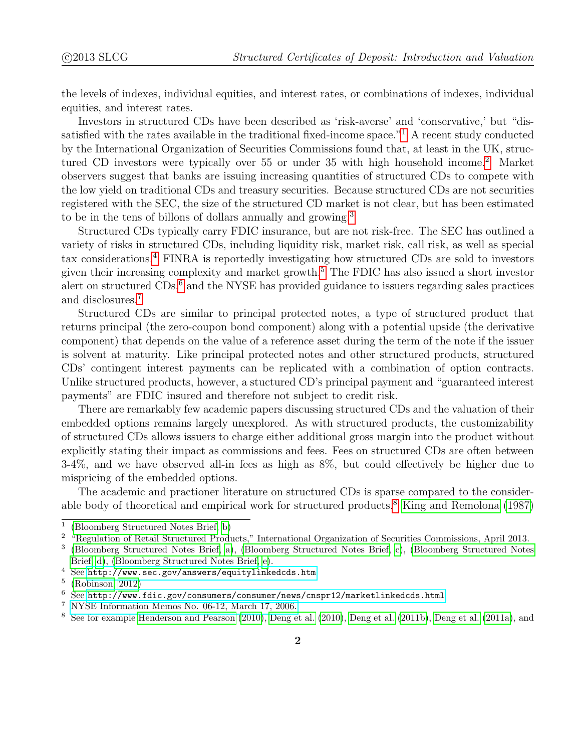the levels of indexes, individual equities, and interest rates, or combinations of indexes, individual equities, and interest rates.

Investors in structured CDs have been described as 'risk-averse' and 'conservative,' but "dis-satisfied with the rates available in the traditional fixed-income space.<sup>"[1](#page-0-0)</sup> A recent study conducted by the International Organization of Securities Commissions found that, at least in the UK, struc-tured CD investors were typically over 55 or under 35 with high household income.<sup>[2](#page-0-0)</sup> Market observers suggest that banks are issuing increasing quantities of structured CDs to compete with the low yield on traditional CDs and treasury securities. Because structured CDs are not securities registered with the SEC, the size of the structured CD market is not clear, but has been estimated to be in the tens of billons of dollars annually and growing.<sup>[3](#page-0-0)</sup>

Structured CDs typically carry FDIC insurance, but are not risk-free. The SEC has outlined a variety of risks in structured CDs, including liquidity risk, market risk, call risk, as well as special tax considerations.[4](#page-0-0) FINRA is reportedly investigating how structured CDs are sold to investors given their increasing complexity and market growth.[5](#page-0-0) The FDIC has also issued a short investor alert on structured  $CDs$ ,<sup>[6](#page-0-0)</sup> and the NYSE has provided guidance to issuers regarding sales practices and disclosures.[7](#page-0-0)

Structured CDs are similar to principal protected notes, a type of structured product that returns principal (the zero-coupon bond component) along with a potential upside (the derivative component) that depends on the value of a reference asset during the term of the note if the issuer is solvent at maturity. Like principal protected notes and other structured products, structured CDs' contingent interest payments can be replicated with a combination of option contracts. Unlike structured products, however, a stuctured CD's principal payment and "guaranteed interest payments" are FDIC insured and therefore not subject to credit risk.

There are remarkably few academic papers discussing structured CDs and the valuation of their embedded options remains largely unexplored. As with structured products, the customizability of structured CDs allows issuers to charge either additional gross margin into the product without explicitly stating their impact as commissions and fees. Fees on structured CDs are often between 3-4%, and we have observed all-in fees as high as 8%, but could effectively be higher due to mispricing of the embedded options.

The academic and practioner literature on structured CDs is sparse compared to the considerable body of theoretical and empirical work for structured products.[8](#page-0-0) [King and Remolona](#page-21-0) [\(1987\)](#page-21-0)

<sup>1</sup> [\(Bloomberg Structured Notes Brief, b\)](#page-20-0)

<sup>&</sup>lt;sup>2</sup> "Regulation of Retail Structured Products," International Organization of Securities Commissions, April 2013.

<sup>3</sup> [\(Bloomberg Structured Notes Brief, a\)](#page-20-1), [\(Bloomberg Structured Notes Brief, c\)](#page-20-2), [\(Bloomberg Structured Notes](#page-20-3) [Brief, d\)](#page-20-3), [\(Bloomberg Structured Notes Brief, e\)](#page-20-4).

 $^4\,$  See <code><http://www.sec.gov/answers/equitylinkedcds.htm></code>

<sup>5</sup> [\(Robinson, 2012\)](#page-21-1)

<sup>&</sup>lt;sup>6</sup> See <http://www.fdic.gov/consumers/consumer/news/cnspr12/marketlinkedcds.html><br><sup>7</sup> NYSE Information Memos No. 06-12, March 17, 2006.

<sup>7</sup> [NYSE Information Memos No. 06-12, March 17, 2006.](http://apps.nyse.com/commdata/PubInfoMemos.nsf/AllPublishedInfoMemosNyseCom/85256FCB005E19E8852571330062CAE1)

 $8$  See for example [Henderson and Pearson](#page-21-2) [\(2010\)](#page-21-3), [Deng et al.](#page-21-5) (2010), Deng et al. [\(2011b\)](#page-21-4), Deng et al. [\(2011a\)](#page-21-5), and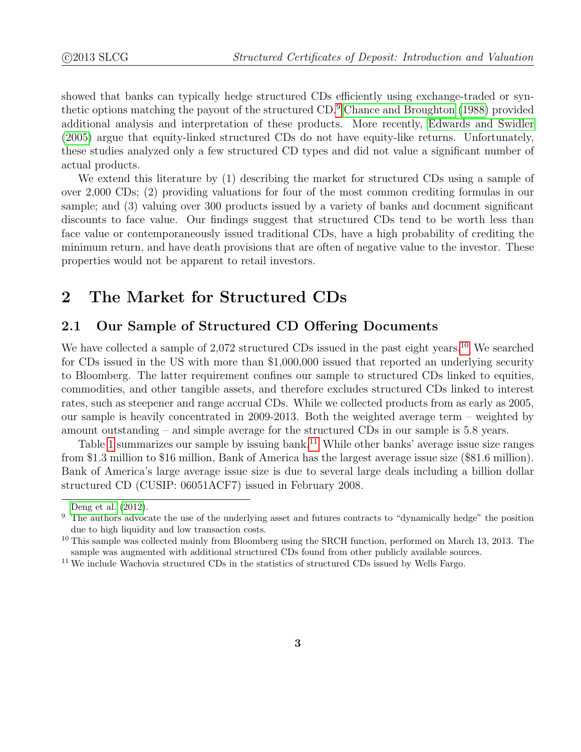showed that banks can typically hedge structured CDs efficiently using exchange-traded or synthetic options matching the payout of the structured CD.[9](#page-0-0) [Chance and Broughton](#page-20-5) [\(1988\)](#page-20-5) provided additional analysis and interpretation of these products. More recently, [Edwards and Swidler](#page-21-6) [\(2005\)](#page-21-6) argue that equity-linked structured CDs do not have equity-like returns. Unfortunately, these studies analyzed only a few structured CD types and did not value a significant number of actual products.

We extend this literature by (1) describing the market for structured CDs using a sample of over 2,000 CDs; (2) providing valuations for four of the most common crediting formulas in our sample; and (3) valuing over 300 products issued by a variety of banks and document significant discounts to face value. Our findings suggest that structured CDs tend to be worth less than face value or contemporaneously issued traditional CDs, have a high probability of crediting the minimum return, and have death provisions that are often of negative value to the investor. These properties would not be apparent to retail investors.

## 2 The Market for Structured CDs

### 2.1 Our Sample of Structured CD Offering Documents

We have collected a sample of 2,072 structured CDs issued in the past eight years.<sup>[10](#page-0-0)</sup> We searched for CDs issued in the US with more than \$1,000,000 issued that reported an underlying security to Bloomberg. The latter requirement confines our sample to structured CDs linked to equities, commodities, and other tangible assets, and therefore excludes structured CDs linked to interest rates, such as steepener and range accrual CDs. While we collected products from as early as 2005, our sample is heavily concentrated in 2009-2013. Both the weighted average term – weighted by amount outstanding – and simple average for the structured CDs in our sample is 5.8 years.

Table [1](#page-3-0) summarizes our sample by issuing bank.<sup>[11](#page-0-0)</sup> While other banks' average issue size ranges from \$1.3 million to \$16 million, Bank of America has the largest average issue size (\$81.6 million). Bank of America's large average issue size is due to several large deals including a billion dollar structured CD (CUSIP: 06051ACF7) issued in February 2008.

[Deng et al.](#page-21-7) [\(2012\)](#page-21-7).

<sup>&</sup>lt;sup>9</sup> The authors advocate the use of the underlying asset and futures contracts to "dynamically hedge" the position due to high liquidity and low transaction costs.

 $10$  This sample was collected mainly from Bloomberg using the SRCH function, performed on March 13, 2013. The sample was augmented with additional structured CDs found from other publicly available sources.

<sup>&</sup>lt;sup>11</sup> We include Wachovia structured CDs in the statistics of structured CDs issued by Wells Fargo.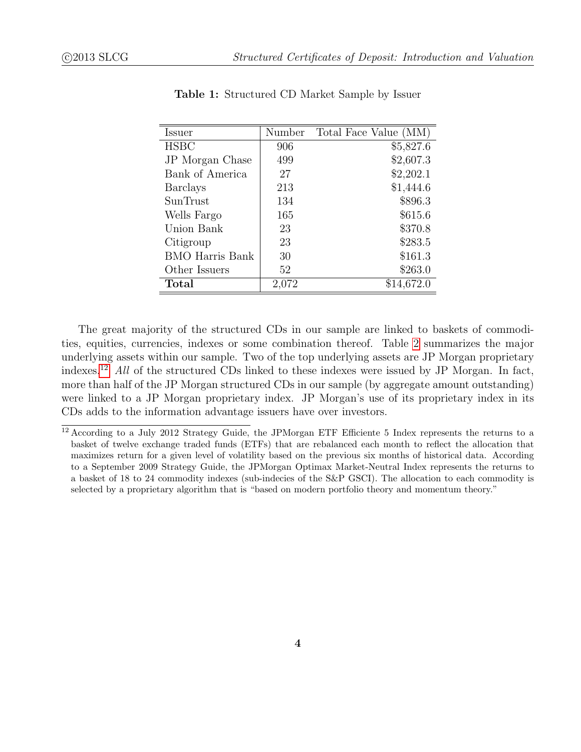<span id="page-3-0"></span>

| Issuer                 | Number | Total Face Value (MM) |
|------------------------|--------|-----------------------|
| <b>HSBC</b>            | 906    | \$5,827.6             |
| JP Morgan Chase        | 499    | \$2,607.3             |
| Bank of America        | 27     | \$2,202.1             |
| <b>Barclays</b>        | 213    | \$1,444.6             |
| SunTrust               | 134    | \$896.3               |
| Wells Fargo            | 165    | \$615.6               |
| Union Bank             | 23     | \$370.8               |
| Citigroup              | 23     | \$283.5               |
| <b>BMO</b> Harris Bank | 30     | \$161.3               |
| Other Issuers          | 52     | \$263.0               |
| Total                  | 2,072  | \$14,672.0            |

Table 1: Structured CD Market Sample by Issuer

The great majority of the structured CDs in our sample are linked to baskets of commodities, equities, currencies, indexes or some combination thereof. Table [2](#page-4-0) summarizes the major underlying assets within our sample. Two of the top underlying assets are JP Morgan proprietary indexes.<sup>[12](#page-0-0)</sup> All of the structured CDs linked to these indexes were issued by JP Morgan. In fact, more than half of the JP Morgan structured CDs in our sample (by aggregate amount outstanding) were linked to a JP Morgan proprietary index. JP Morgan's use of its proprietary index in its CDs adds to the information advantage issuers have over investors.

<sup>&</sup>lt;sup>12</sup> According to a July 2012 Strategy Guide, the JPMorgan ETF Efficiente 5 Index represents the returns to a basket of twelve exchange traded funds (ETFs) that are rebalanced each month to reflect the allocation that maximizes return for a given level of volatility based on the previous six months of historical data. According to a September 2009 Strategy Guide, the JPMorgan Optimax Market-Neutral Index represents the returns to a basket of 18 to 24 commodity indexes (sub-indecies of the S&P GSCI). The allocation to each commodity is selected by a proprietary algorithm that is "based on modern portfolio theory and momentum theory."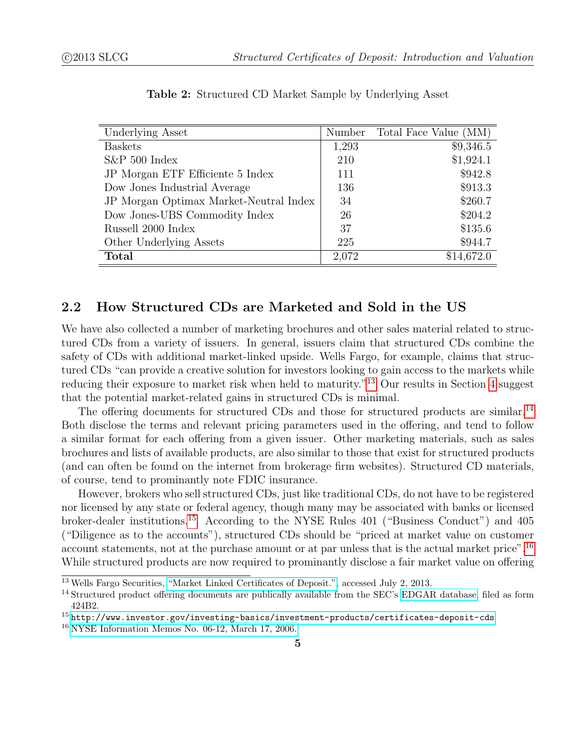<span id="page-4-0"></span>

| <b>Underlying Asset</b>                | Number | Total Face Value (MM) |
|----------------------------------------|--------|-----------------------|
| <b>Baskets</b>                         | 1,293  | \$9,346.5             |
| $S\&P500$ Index                        | 210    | \$1,924.1             |
| JP Morgan ETF Efficiente 5 Index       | 111    | \$942.8               |
| Dow Jones Industrial Average           | 136    | \$913.3               |
| JP Morgan Optimax Market-Neutral Index | 34     | \$260.7               |
| Dow Jones-UBS Commodity Index          | 26     | \$204.2               |
| Russell 2000 Index                     | 37     | \$135.6               |
| Other Underlying Assets                | 225    | \$944.7               |
| <b>Total</b>                           | 2,072  | \$14,672.0            |

|  |  | Table 2: Structured CD Market Sample by Underlying Asset |  |  |  |  |  |  |
|--|--|----------------------------------------------------------|--|--|--|--|--|--|
|--|--|----------------------------------------------------------|--|--|--|--|--|--|

#### 2.2 How Structured CDs are Marketed and Sold in the US

We have also collected a number of marketing brochures and other sales material related to structured CDs from a variety of issuers. In general, issuers claim that structured CDs combine the safety of CDs with additional market-linked upside. Wells Fargo, for example, claims that structured CDs "can provide a creative solution for investors looking to gain access to the markets while reducing their exposure to market risk when held to maturity.<sup>"[13](#page-0-0)</sup> Our results in Section [4](#page-7-0) suggest that the potential market-related gains in structured CDs is minimal.

The offering documents for structured CDs and those for structured products are similar.<sup>[14](#page-0-0)</sup> Both disclose the terms and relevant pricing parameters used in the offering, and tend to follow a similar format for each offering from a given issuer. Other marketing materials, such as sales brochures and lists of available products, are also similar to those that exist for structured products (and can often be found on the internet from brokerage firm websites). Structured CD materials, of course, tend to prominantly note FDIC insurance.

However, brokers who sell structured CDs, just like traditional CDs, do not have to be registered nor licensed by any state or federal agency, though many may be associated with banks or licensed broker-dealer institutions.[15](#page-0-0) According to the NYSE Rules 401 ("Business Conduct") and 405 ("Diligence as to the accounts"), structured CDs should be "priced at market value on customer account statements, not at the purchase amount or at par unless that is the actual market price".<sup>[16](#page-0-0)</sup> While structured products are now required to prominantly disclose a fair market value on offering

<sup>13</sup> Wells Fargo Securities, ["Market Linked Certificates of Deposit.",](https://www.wellsfargo.com/downloads/pdf/com/securities/Market_Linked_CDs.pdf) accessed July 2, 2013.

<sup>&</sup>lt;sup>14</sup> Structured product offering documents are publically available from the SEC's [EDGAR database,](http://www.sec.gov/edgar/searchedgar/webusers.htm) filed as form 424B2.

 $^{15}\text{http://www.investor.gov/investing-basics/investment-products/certificates-deposit-cds}$  $^{15}\text{http://www.investor.gov/investing-basics/investment-products/certificates-deposit-cds}$  $^{15}\text{http://www.investor.gov/investing-basics/investment-products/certificates-deposit-cds}$ 

<sup>16</sup> [NYSE Information Memos No. 06-12, March 17, 2006.](http://apps.nyse.com/commdata/PubInfoMemos.nsf/AllPublishedInfoMemosNyseCom/85256FCB005E19E8852571330062CAE1)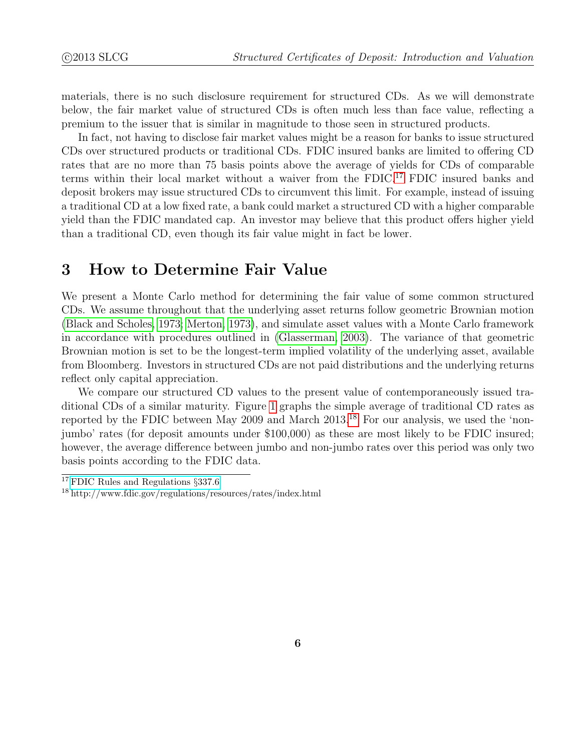materials, there is no such disclosure requirement for structured CDs. As we will demonstrate below, the fair market value of structured CDs is often much less than face value, reflecting a premium to the issuer that is similar in magnitude to those seen in structured products.

In fact, not having to disclose fair market values might be a reason for banks to issue structured CDs over structured products or traditional CDs. FDIC insured banks are limited to offering CD rates that are no more than 75 basis points above the average of yields for CDs of comparable terms within their local market without a waiver from the FDIC.[17](#page-0-0) FDIC insured banks and deposit brokers may issue structured CDs to circumvent this limit. For example, instead of issuing a traditional CD at a low fixed rate, a bank could market a structured CD with a higher comparable yield than the FDIC mandated cap. An investor may believe that this product offers higher yield than a traditional CD, even though its fair value might in fact be lower.

## 3 How to Determine Fair Value

We present a Monte Carlo method for determining the fair value of some common structured CDs. We assume throughout that the underlying asset returns follow geometric Brownian motion [\(Black and Scholes, 1973;](#page-20-6) [Merton, 1973\)](#page-21-8), and simulate asset values with a Monte Carlo framework in accordance with procedures outlined in [\(Glasserman, 2003\)](#page-21-9). The variance of that geometric Brownian motion is set to be the longest-term implied volatility of the underlying asset, available from Bloomberg. Investors in structured CDs are not paid distributions and the underlying returns reflect only capital appreciation.

We compare our structured CD values to the present value of contemporaneously issued traditional CDs of a similar maturity. Figure [1](#page-6-0) graphs the simple average of traditional CD rates as reported by the FDIC between May 2009 and March 2013.[18](#page-0-0) For our analysis, we used the 'nonjumbo' rates (for deposit amounts under \$100,000) as these are most likely to be FDIC insured; however, the average difference between jumbo and non-jumbo rates over this period was only two basis points according to the FDIC data.

<sup>&</sup>lt;sup>17</sup> [FDIC Rules and Regulations](http://www.fdic.gov/regulations/laws/rules/2000-5900.html)  $§ 337.6$ 

<sup>18</sup> http://www.fdic.gov/regulations/resources/rates/index.html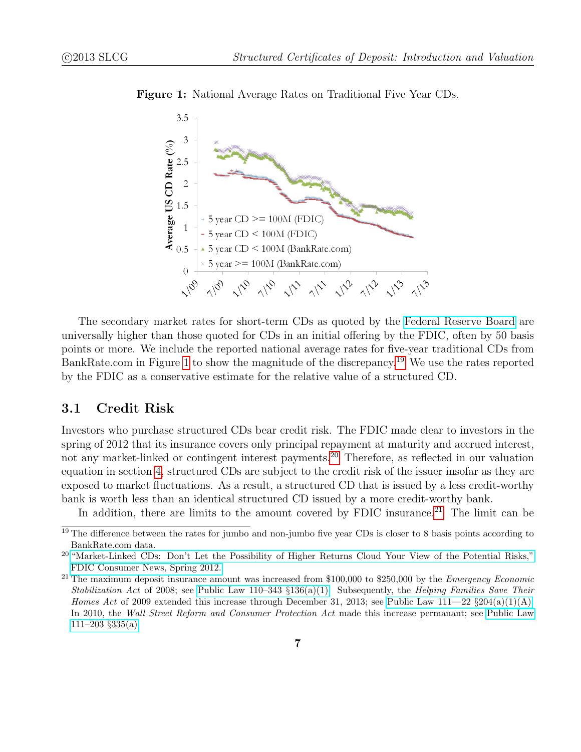

<span id="page-6-0"></span>Figure 1: National Average Rates on Traditional Five Year CDs.

The secondary market rates for short-term CDs as quoted by the [Federal Reserve Board](http://www.federalreserve.gov/releases/h15/data.htm) are universally higher than those quoted for CDs in an initial offering by the FDIC, often by 50 basis points or more. We include the reported national average rates for five-year traditional CDs from BankRate.com in Figure [1](#page-6-0) to show the magnitude of the discrepancy.<sup>[19](#page-0-0)</sup> We use the rates reported by the FDIC as a conservative estimate for the relative value of a structured CD.

#### 3.1 Credit Risk

Investors who purchase structured CDs bear credit risk. The FDIC made clear to investors in the spring of 2012 that its insurance covers only principal repayment at maturity and accrued interest, not any market-linked or contingent interest payments.<sup>[20](#page-0-0)</sup> Therefore, as reflected in our valuation equation in section [4,](#page-7-0) structured CDs are subject to the credit risk of the issuer insofar as they are exposed to market fluctuations. As a result, a structured CD that is issued by a less credit-worthy bank is worth less than an identical structured CD issued by a more credit-worthy bank.

In addition, there are limits to the amount covered by FDIC insurance.<sup>[21](#page-0-0)</sup> The limit can be

<sup>&</sup>lt;sup>19</sup> The difference between the rates for jumbo and non-jumbo five year CDs is closer to 8 basis points according to BankRate.com data.

<sup>&</sup>lt;sup>20</sup> ["Market-Linked CDs: Don't Let the Possibility of Higher Returns Cloud Your View of the Potential Risks,"](http://www.fdic.gov/consumers/consumer/news/cnspr12/marketlinkedcds.html) [FDIC Consumer News, Spring 2012.](http://www.fdic.gov/consumers/consumer/news/cnspr12/marketlinkedcds.html)

<sup>&</sup>lt;sup>21</sup> The maximum deposit insurance amount was increased from \$100,000 to \$250,000 by the *Emergency Economic* Stabilization Act of 2008; see [Public Law 110–343](http://www.gpo.gov/fdsys/pkg/PLAW-110publ343/pdf/PLAW-110publ343.pdf)  $\S 136(a)(1)$ . Subsequently, the Helping Families Save Their Homes Act of 2009 extended this increase through December 31, 2013; see Public Law  $111-22 \ \text{§}204(a)(1)(A)$ . In 2010, the Wall Street Reform and Consumer Protection Act made this increase permanant; see [Public Law](http://www.gpo.gov/fdsys/pkg/PLAW-111publ203/pdf/PLAW-111publ203.pdf)  $111-203$  §335(a).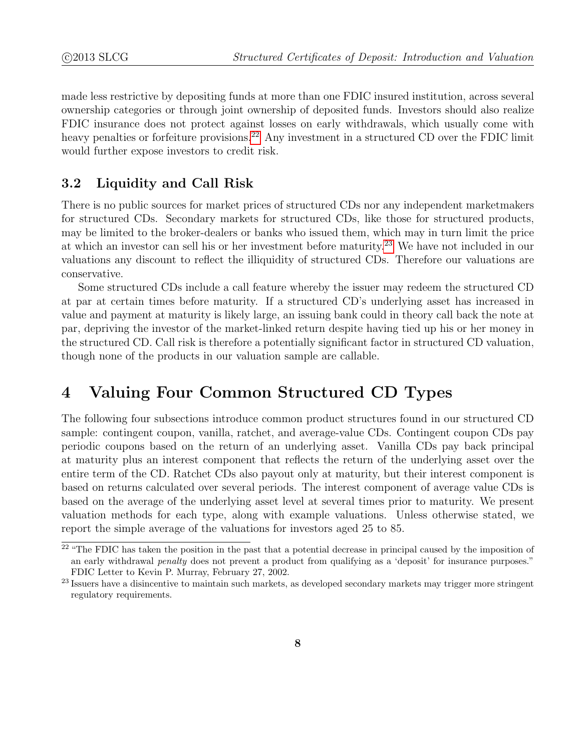made less restrictive by depositing funds at more than one FDIC insured institution, across several ownership categories or through joint ownership of deposited funds. Investors should also realize FDIC insurance does not protect against losses on early withdrawals, which usually come with heavy penalties or forfeiture provisions.<sup>[22](#page-0-0)</sup> Any investment in a structured CD over the FDIC limit would further expose investors to credit risk.

#### 3.2 Liquidity and Call Risk

There is no public sources for market prices of structured CDs nor any independent marketmakers for structured CDs. Secondary markets for structured CDs, like those for structured products, may be limited to the broker-dealers or banks who issued them, which may in turn limit the price at which an investor can sell his or her investment before maturity.<sup>[23](#page-0-0)</sup> We have not included in our valuations any discount to reflect the illiquidity of structured CDs. Therefore our valuations are conservative.

Some structured CDs include a call feature whereby the issuer may redeem the structured CD at par at certain times before maturity. If a structured CD's underlying asset has increased in value and payment at maturity is likely large, an issuing bank could in theory call back the note at par, depriving the investor of the market-linked return despite having tied up his or her money in the structured CD. Call risk is therefore a potentially significant factor in structured CD valuation, though none of the products in our valuation sample are callable.

## <span id="page-7-0"></span>4 Valuing Four Common Structured CD Types

The following four subsections introduce common product structures found in our structured CD sample: contingent coupon, vanilla, ratchet, and average-value CDs. Contingent coupon CDs pay periodic coupons based on the return of an underlying asset. Vanilla CDs pay back principal at maturity plus an interest component that reflects the return of the underlying asset over the entire term of the CD. Ratchet CDs also payout only at maturity, but their interest component is based on returns calculated over several periods. The interest component of average value CDs is based on the average of the underlying asset level at several times prior to maturity. We present valuation methods for each type, along with example valuations. Unless otherwise stated, we report the simple average of the valuations for investors aged 25 to 85.

<sup>&</sup>lt;sup>22</sup> "The FDIC has taken the position in the past that a potential decrease in principal caused by the imposition of an early withdrawal penalty does not prevent a product from qualifying as a 'deposit' for insurance purposes." FDIC Letter to Kevin P. Murray, February 27, 2002.

<sup>&</sup>lt;sup>23</sup> Issuers have a disincentive to maintain such markets, as developed secondary markets may trigger more stringent regulatory requirements.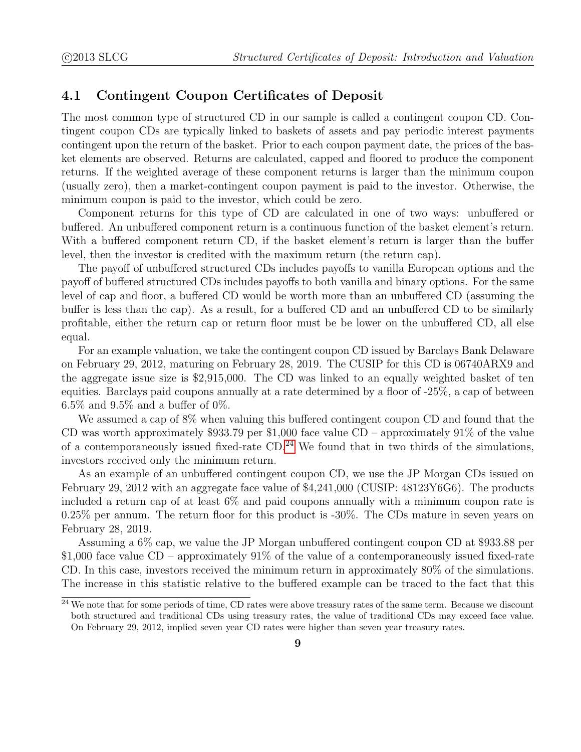#### 4.1 Contingent Coupon Certificates of Deposit

The most common type of structured CD in our sample is called a contingent coupon CD. Contingent coupon CDs are typically linked to baskets of assets and pay periodic interest payments contingent upon the return of the basket. Prior to each coupon payment date, the prices of the basket elements are observed. Returns are calculated, capped and floored to produce the component returns. If the weighted average of these component returns is larger than the minimum coupon (usually zero), then a market-contingent coupon payment is paid to the investor. Otherwise, the minimum coupon is paid to the investor, which could be zero.

Component returns for this type of CD are calculated in one of two ways: unbuffered or buffered. An unbuffered component return is a continuous function of the basket element's return. With a buffered component return CD, if the basket element's return is larger than the buffer level, then the investor is credited with the maximum return (the return cap).

The payoff of unbuffered structured CDs includes payoffs to vanilla European options and the payoff of buffered structured CDs includes payoffs to both vanilla and binary options. For the same level of cap and floor, a buffered CD would be worth more than an unbuffered CD (assuming the buffer is less than the cap). As a result, for a buffered CD and an unbuffered CD to be similarly profitable, either the return cap or return floor must be be lower on the unbuffered CD, all else equal.

For an example valuation, we take the contingent coupon CD issued by Barclays Bank Delaware on February 29, 2012, maturing on February 28, 2019. The CUSIP for this CD is 06740ARX9 and the aggregate issue size is \$2,915,000. The CD was linked to an equally weighted basket of ten equities. Barclays paid coupons annually at a rate determined by a floor of -25%, a cap of between  $6.5\%$  and  $9.5\%$  and a buffer of 0%.

We assumed a cap of 8% when valuing this buffered contingent coupon CD and found that the CD was worth approximately \$933.79 per \$1,000 face value  $CD$  – approximately  $91\%$  of the value of a contemporaneously issued fixed-rate  $CD.^{24}$  $CD.^{24}$  $CD.^{24}$  We found that in two thirds of the simulations, investors received only the minimum return.

As an example of an unbuffered contingent coupon CD, we use the JP Morgan CDs issued on February 29, 2012 with an aggregate face value of \$4,241,000 (CUSIP: 48123Y6G6). The products included a return cap of at least 6% and paid coupons annually with a minimum coupon rate is 0.25% per annum. The return floor for this product is -30%. The CDs mature in seven years on February 28, 2019.

Assuming a 6% cap, we value the JP Morgan unbuffered contingent coupon CD at \$933.88 per \$1,000 face value CD – approximately 91% of the value of a contemporaneously issued fixed-rate CD. In this case, investors received the minimum return in approximately 80% of the simulations. The increase in this statistic relative to the buffered example can be traced to the fact that this

<sup>&</sup>lt;sup>24</sup> We note that for some periods of time, CD rates were above treasury rates of the same term. Because we discount both structured and traditional CDs using treasury rates, the value of traditional CDs may exceed face value. On February 29, 2012, implied seven year CD rates were higher than seven year treasury rates.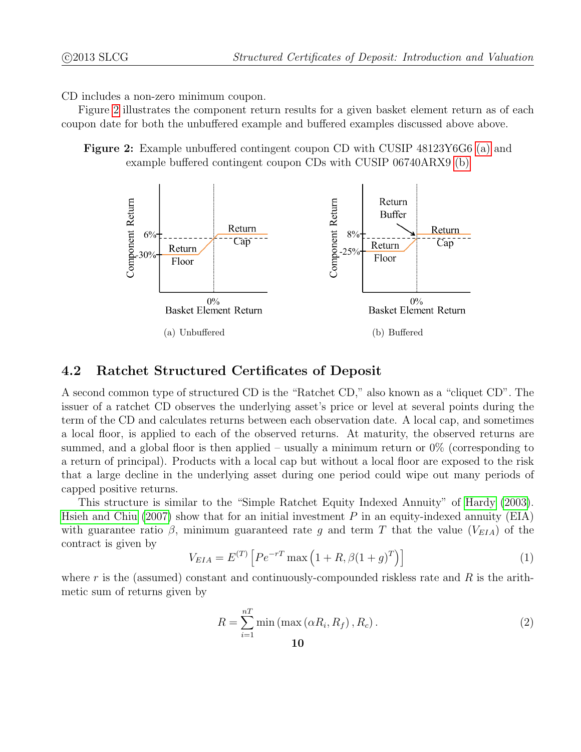CD includes a non-zero minimum coupon.

Figure [2](#page-9-0) illustrates the component return results for a given basket element return as of each coupon date for both the unbuffered example and buffered examples discussed above above.

<span id="page-9-1"></span>Figure 2: Example unbuffered contingent coupon CD with CUSIP 48123Y6G6 [\(a\)](#page-9-1) and example buffered contingent coupon CDs with CUSIP 06740ARX9 [\(b\)](#page-9-0)

<span id="page-9-0"></span>

#### 4.2 Ratchet Structured Certificates of Deposit

A second common type of structured CD is the "Ratchet CD," also known as a "cliquet CD". The issuer of a ratchet CD observes the underlying asset's price or level at several points during the term of the CD and calculates returns between each observation date. A local cap, and sometimes a local floor, is applied to each of the observed returns. At maturity, the observed returns are summed, and a global floor is then applied – usually a minimum return or  $0\%$  (corresponding to a return of principal). Products with a local cap but without a local floor are exposed to the risk that a large decline in the underlying asset during one period could wipe out many periods of capped positive returns.

This structure is similar to the "Simple Ratchet Equity Indexed Annuity" of [Hardy](#page-21-10) [\(2003\)](#page-21-10). [Hsieh and Chiu](#page-21-11) [\(2007\)](#page-21-11) show that for an initial investment  $P$  in an equity-indexed annuity (EIA) with guarantee ratio  $\beta$ , minimum guaranteed rate g and term T that the value (V<sub>EIA</sub>) of the contract is given by

<span id="page-9-2"></span>
$$
V_{EIA} = E^{(T)} \left[ P e^{-rT} \max \left( 1 + R, \beta (1 + g)^{T} \right) \right]
$$
 (1)

where r is the (assumed) constant and continuously-compounded riskless rate and R is the arithmetic sum of returns given by

<span id="page-9-3"></span>
$$
R = \sum_{i=1}^{nT} \min\left(\max\left(\alpha R_i, R_f\right), R_c\right).
$$
\n<sup>(2)</sup>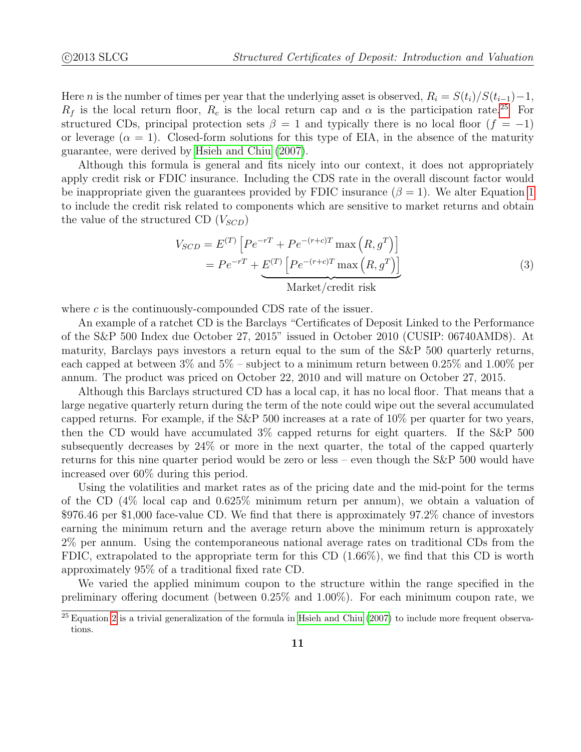Here n is the number of times per year that the underlying asset is observed,  $R_i = S(t_i)/S(t_{i-1})-1$ ,  $R_f$  is the local return floor,  $R_c$  is the local return cap and  $\alpha$  is the participation rate.<sup>[25](#page-0-0)</sup> For structured CDs, principal protection sets  $\beta = 1$  and typically there is no local floor  $(f = -1)$ or leverage  $(\alpha = 1)$ . Closed-form solutions for this type of EIA, in the absence of the maturity guarantee, were derived by [Hsieh and Chiu](#page-21-11) [\(2007\)](#page-21-11).

Although this formula is general and fits nicely into our context, it does not appropriately apply credit risk or FDIC insurance. Including the CDS rate in the overall discount factor would be inappropriate given the guarantees provided by FDIC insurance  $(\beta = 1)$  $(\beta = 1)$  $(\beta = 1)$ . We alter Equation 1 to include the credit risk related to components which are sensitive to market returns and obtain the value of the structured CD  $(V<sub>SCD</sub>)$ 

$$
V_{SCD} = E^{(T)} \left[ P e^{-rT} + P e^{-(r+c)T} \max \left( R, g^T \right) \right]
$$

$$
= P e^{-rT} + E^{(T)} \left[ P e^{-(r+c)T} \max \left( R, g^T \right) \right]
$$

$$
\underbrace{\text{Market/credit risk}} \tag{3}
$$

where  $c$  is the continuously-compounded CDS rate of the issuer.

An example of a ratchet CD is the Barclays "Certificates of Deposit Linked to the Performance of the S&P 500 Index due October 27, 2015" issued in October 2010 (CUSIP: 06740AMD8). At maturity, Barclays pays investors a return equal to the sum of the S&P 500 quarterly returns, each capped at between  $3\%$  and  $5\%$  – subject to a minimum return between 0.25% and 1.00% per annum. The product was priced on October 22, 2010 and will mature on October 27, 2015.

Although this Barclays structured CD has a local cap, it has no local floor. That means that a large negative quarterly return during the term of the note could wipe out the several accumulated capped returns. For example, if the S&P 500 increases at a rate of 10% per quarter for two years, then the CD would have accumulated 3% capped returns for eight quarters. If the S&P 500 subsequently decreases by 24% or more in the next quarter, the total of the capped quarterly returns for this nine quarter period would be zero or less – even though the S&P 500 would have increased over 60% during this period.

Using the volatilities and market rates as of the pricing date and the mid-point for the terms of the CD (4% local cap and 0.625% minimum return per annum), we obtain a valuation of \$976.46 per \$1,000 face-value CD. We find that there is approximately 97.2% chance of investors earning the minimum return and the average return above the minimum return is approxately 2% per annum. Using the contemporaneous national average rates on traditional CDs from the FDIC, extrapolated to the appropriate term for this CD (1.66%), we find that this CD is worth approximately 95% of a traditional fixed rate CD.

We varied the applied minimum coupon to the structure within the range specified in the preliminary offering document (between 0.25% and 1.00%). For each minimum coupon rate, we

 $25$  Equation [2](#page-9-3) is a trivial generalization of the formula in [Hsieh and Chiu](#page-21-11) [\(2007\)](#page-21-11) to include more frequent observations.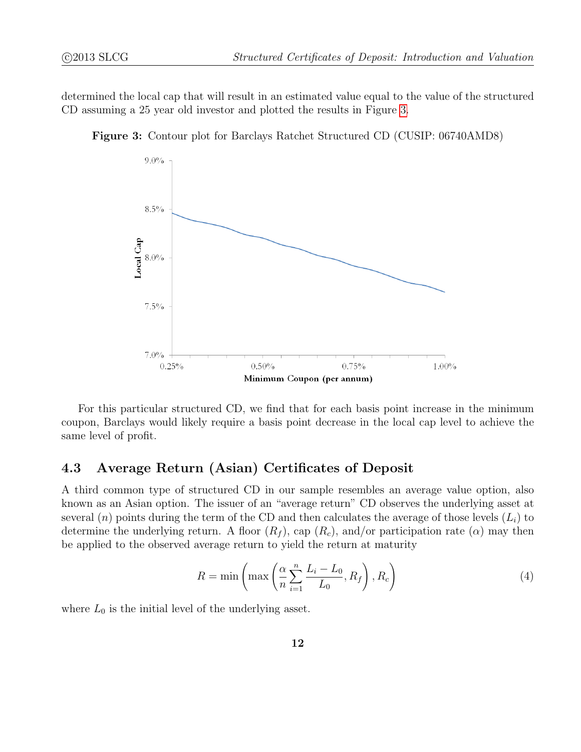determined the local cap that will result in an estimated value equal to the value of the structured CD assuming a 25 year old investor and plotted the results in Figure [3.](#page-11-0)



<span id="page-11-0"></span>Figure 3: Contour plot for Barclays Ratchet Structured CD (CUSIP: 06740AMD8)

For this particular structured CD, we find that for each basis point increase in the minimum coupon, Barclays would likely require a basis point decrease in the local cap level to achieve the same level of profit.

#### 4.3 Average Return (Asian) Certificates of Deposit

A third common type of structured CD in our sample resembles an average value option, also known as an Asian option. The issuer of an "average return" CD observes the underlying asset at several (n) points during the term of the CD and then calculates the average of those levels  $(L_i)$  to determine the underlying return. A floor  $(R_f)$ , cap  $(R_c)$ , and/or participation rate  $(\alpha)$  may then be applied to the observed average return to yield the return at maturity

$$
R = \min\left(\max\left(\frac{\alpha}{n}\sum_{i=1}^{n}\frac{L_i - L_0}{L_0}, R_f\right), R_c\right)
$$
\n<sup>(4)</sup>

where  $L_0$  is the initial level of the underlying asset.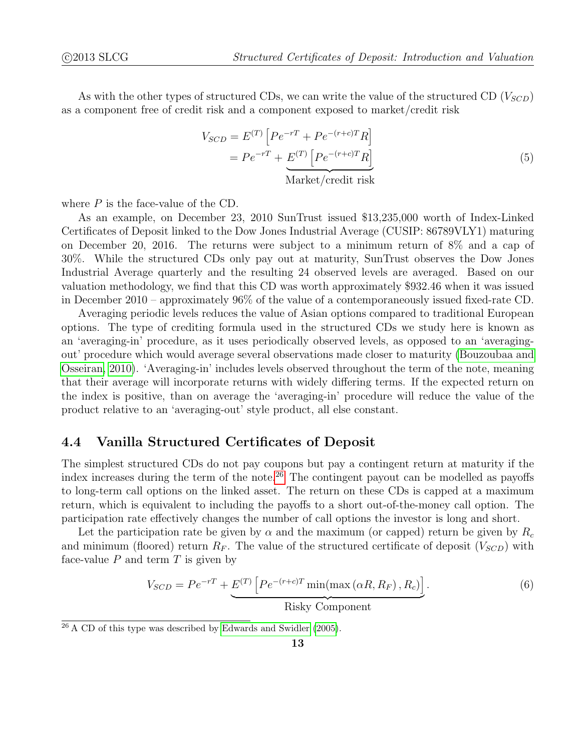As with the other types of structured CDs, we can write the value of the structured CD ( $V_{SCD}$ ) as a component free of credit risk and a component exposed to market/credit risk

$$
V_{SCD} = E^{(T)} \left[ Pe^{-r} + Pe^{-(r+c)T}R \right]
$$

$$
= Pe^{-r} + E^{(T)} \left[ Pe^{-(r+c)T}R \right]
$$

$$
Market/credit risk
$$
(5)

where  $P$  is the face-value of the CD.

As an example, on December 23, 2010 SunTrust issued \$13,235,000 worth of Index-Linked Certificates of Deposit linked to the Dow Jones Industrial Average (CUSIP: 86789VLY1) maturing on December 20, 2016. The returns were subject to a minimum return of 8% and a cap of 30%. While the structured CDs only pay out at maturity, SunTrust observes the Dow Jones Industrial Average quarterly and the resulting 24 observed levels are averaged. Based on our valuation methodology, we find that this CD was worth approximately \$932.46 when it was issued in December 2010 – approximately 96% of the value of a contemporaneously issued fixed-rate CD.

Averaging periodic levels reduces the value of Asian options compared to traditional European options. The type of crediting formula used in the structured CDs we study here is known as an 'averaging-in' procedure, as it uses periodically observed levels, as opposed to an 'averagingout' procedure which would average several observations made closer to maturity [\(Bouzoubaa and](#page-20-7) [Osseiran, 2010\)](#page-20-7). 'Averaging-in' includes levels observed throughout the term of the note, meaning that their average will incorporate returns with widely differing terms. If the expected return on the index is positive, than on average the 'averaging-in' procedure will reduce the value of the product relative to an 'averaging-out' style product, all else constant.

#### 4.4 Vanilla Structured Certificates of Deposit

The simplest structured CDs do not pay coupons but pay a contingent return at maturity if the index increases during the term of the note.<sup>[26](#page-0-0)</sup> The contingent payout can be modelled as payoffs to long-term call options on the linked asset. The return on these CDs is capped at a maximum return, which is equivalent to including the payoffs to a short out-of-the-money call option. The participation rate effectively changes the number of call options the investor is long and short.

Let the participation rate be given by  $\alpha$  and the maximum (or capped) return be given by  $R_c$ and minimum (floored) return  $R_F$ . The value of the structured certificate of deposit  $(V_{SCD})$  with face-value  $P$  and term  $T$  is given by

<span id="page-12-0"></span>
$$
V_{SCD} = Pe^{-rT} + \underbrace{E^{(T)} \left[ Pe^{-(r+c)T} \min(\max(\alpha R, R_F), R_c) \right]}_{\text{Risky Component}}.
$$
 (6)

 $26$  A CD of this type was described by [Edwards and Swidler](#page-21-6) [\(2005\)](#page-21-6).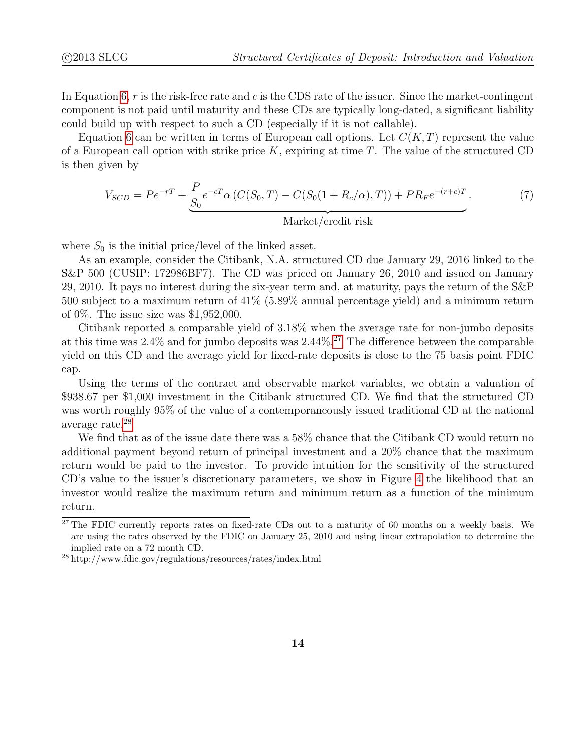In Equation [6,](#page-12-0)  $r$  is the risk-free rate and  $c$  is the CDS rate of the issuer. Since the market-contingent component is not paid until maturity and these CDs are typically long-dated, a significant liability could build up with respect to such a CD (especially if it is not callable).

Equation [6](#page-12-0) can be written in terms of European call options. Let  $C(K,T)$  represent the value of a European call option with strike price  $K$ , expiring at time  $T$ . The value of the structured CD is then given by

$$
V_{SCD} = Pe^{-rT} + \underbrace{\frac{P}{S_0}e^{-cT}\alpha (C(S_0, T) - C(S_0(1 + R_c/\alpha), T)) + PR_F e^{-(r+c)T}}_{\text{Market/credit risk}}.
$$
\n
$$
(7)
$$

where  $S_0$  is the initial price/level of the linked asset.

As an example, consider the Citibank, N.A. structured CD due January 29, 2016 linked to the S&P 500 (CUSIP: 172986BF7). The CD was priced on January 26, 2010 and issued on January 29, 2010. It pays no interest during the six-year term and, at maturity, pays the return of the S&P 500 subject to a maximum return of 41% (5.89% annual percentage yield) and a minimum return of 0%. The issue size was \$1,952,000.

Citibank reported a comparable yield of 3.18% when the average rate for non-jumbo deposits at this time was  $2.4\%$  and for jumbo deposits was  $2.44\%$ .<sup>[27](#page-0-0)</sup> The difference between the comparable yield on this CD and the average yield for fixed-rate deposits is close to the 75 basis point FDIC cap.

Using the terms of the contract and observable market variables, we obtain a valuation of \$938.67 per \$1,000 investment in the Citibank structured CD. We find that the structured CD was worth roughly 95% of the value of a contemporaneously issued traditional CD at the national average rate.[28](#page-0-0)

We find that as of the issue date there was a  $58\%$  chance that the Citibank CD would return no additional payment beyond return of principal investment and a 20% chance that the maximum return would be paid to the investor. To provide intuition for the sensitivity of the structured CD's value to the issuer's discretionary parameters, we show in Figure [4](#page-14-0) the likelihood that an investor would realize the maximum return and minimum return as a function of the minimum return.

 $27$  The FDIC currently reports rates on fixed-rate CDs out to a maturity of 60 months on a weekly basis. We are using the rates observed by the FDIC on January 25, 2010 and using linear extrapolation to determine the implied rate on a 72 month CD.

<sup>28</sup> http://www.fdic.gov/regulations/resources/rates/index.html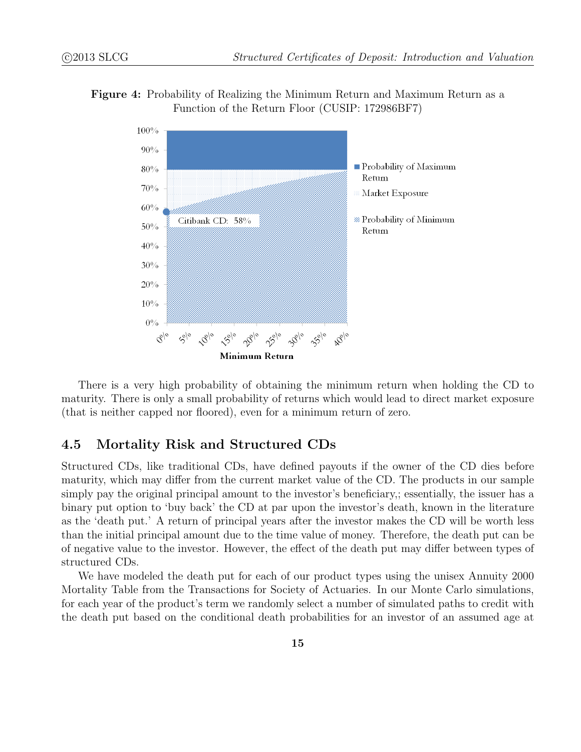<span id="page-14-0"></span>Figure 4: Probability of Realizing the Minimum Return and Maximum Return as a Function of the Return Floor (CUSIP: 172986BF7)



There is a very high probability of obtaining the minimum return when holding the CD to maturity. There is only a small probability of returns which would lead to direct market exposure (that is neither capped nor floored), even for a minimum return of zero.

#### 4.5 Mortality Risk and Structured CDs

Structured CDs, like traditional CDs, have defined payouts if the owner of the CD dies before maturity, which may differ from the current market value of the CD. The products in our sample simply pay the original principal amount to the investor's beneficiary,; essentially, the issuer has a binary put option to 'buy back' the CD at par upon the investor's death, known in the literature as the 'death put.' A return of principal years after the investor makes the CD will be worth less than the initial principal amount due to the time value of money. Therefore, the death put can be of negative value to the investor. However, the effect of the death put may differ between types of structured CDs.

We have modeled the death put for each of our product types using the unisex Annuity 2000 Mortality Table from the Transactions for Society of Actuaries. In our Monte Carlo simulations, for each year of the product's term we randomly select a number of simulated paths to credit with the death put based on the conditional death probabilities for an investor of an assumed age at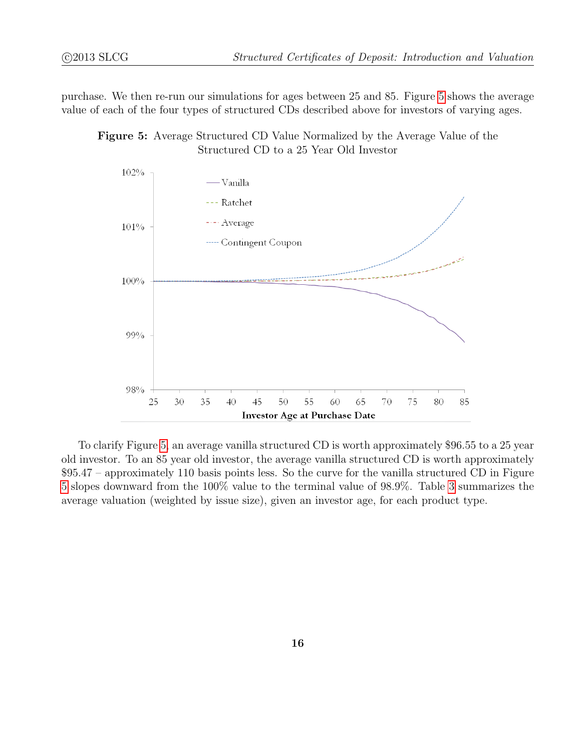purchase. We then re-run our simulations for ages between 25 and 85. Figure [5](#page-15-0) shows the average value of each of the four types of structured CDs described above for investors of varying ages.

<span id="page-15-0"></span>



To clarify Figure [5,](#page-15-0) an average vanilla structured CD is worth approximately \$96.55 to a 25 year old investor. To an 85 year old investor, the average vanilla structured CD is worth approximately \$95.47 – approximately 110 basis points less. So the curve for the vanilla structured CD in Figure [5](#page-15-0) slopes downward from the 100% value to the terminal value of 98.9%. Table [3](#page-16-0) summarizes the average valuation (weighted by issue size), given an investor age, for each product type.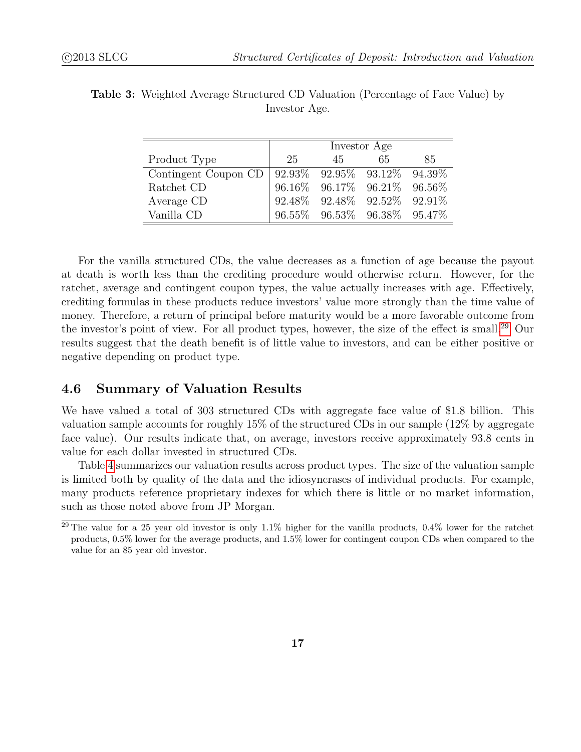|                                                                                                                                                                                                                                                                                              | Investor Age |    |    |    |  |  |  |
|----------------------------------------------------------------------------------------------------------------------------------------------------------------------------------------------------------------------------------------------------------------------------------------------|--------------|----|----|----|--|--|--|
| Product Type                                                                                                                                                                                                                                                                                 | 25           | 45 | 65 | 85 |  |  |  |
|                                                                                                                                                                                                                                                                                              |              |    |    |    |  |  |  |
|                                                                                                                                                                                                                                                                                              |              |    |    |    |  |  |  |
|                                                                                                                                                                                                                                                                                              |              |    |    |    |  |  |  |
| $\begin{tabular}{l c c c c c} \hline Contingent Coupon CD&92.93\%&92.95\%&93.12\%&94.39\%\\ \hline \textbf{Rather CD} &96.16\%&96.17\%&96.21\%&96.56\%\\ \textbf{Average CD} &92.48\%&92.48\%&92.52\%&92.91\%\\ \textbf{Vanilla CD} &96.55\%&96.53\%&96.38\%&95.47\%\\ \hline \end{tabular}$ |              |    |    |    |  |  |  |

<span id="page-16-0"></span>

| <b>Table 3:</b> Weighted Average Structured CD Valuation (Percentage of Face Value) by |               |  |  |
|----------------------------------------------------------------------------------------|---------------|--|--|
|                                                                                        | Investor Age. |  |  |

For the vanilla structured CDs, the value decreases as a function of age because the payout at death is worth less than the crediting procedure would otherwise return. However, for the ratchet, average and contingent coupon types, the value actually increases with age. Effectively, crediting formulas in these products reduce investors' value more strongly than the time value of money. Therefore, a return of principal before maturity would be a more favorable outcome from the investor's point of view. For all product types, however, the size of the effect is small.<sup>[29](#page-0-0)</sup> Our results suggest that the death benefit is of little value to investors, and can be either positive or negative depending on product type.

#### 4.6 Summary of Valuation Results

We have valued a total of 303 structured CDs with aggregate face value of \$1.8 billion. This valuation sample accounts for roughly 15% of the structured CDs in our sample (12% by aggregate face value). Our results indicate that, on average, investors receive approximately 93.8 cents in value for each dollar invested in structured CDs.

Table [4](#page-17-0) summarizes our valuation results across product types. The size of the valuation sample is limited both by quality of the data and the idiosyncrases of individual products. For example, many products reference proprietary indexes for which there is little or no market information, such as those noted above from JP Morgan.

 $29$  The value for a 25 year old investor is only 1.1% higher for the vanilla products, 0.4% lower for the ratchet products, 0.5% lower for the average products, and 1.5% lower for contingent coupon CDs when compared to the value for an 85 year old investor.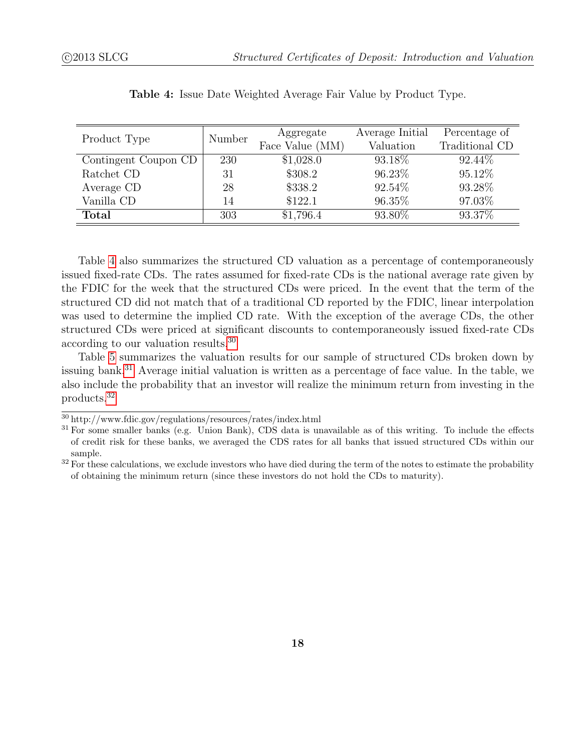<span id="page-17-0"></span>

|                      |        | Aggregate       | Average Initial | Percentage of  |
|----------------------|--------|-----------------|-----------------|----------------|
| Product Type         | Number | Face Value (MM) | Valuation       | Traditional CD |
| Contingent Coupon CD | 230    | \$1,028.0       | 93.18\%         | 92.44\%        |
| Ratchet CD           | 31     | \$308.2         | 96.23%          | 95.12%         |
| Average CD           | 28     | \$338.2         | 92.54%          | 93.28%         |
| Vanilla CD           | 14     | \$122.1         | 96.35%          | 97.03%         |
| <b>Total</b>         | 303    | \$1,796.4       | 93.80\%         | 93.37%         |

Table 4: Issue Date Weighted Average Fair Value by Product Type.

Table [4](#page-17-0) also summarizes the structured CD valuation as a percentage of contemporaneously issued fixed-rate CDs. The rates assumed for fixed-rate CDs is the national average rate given by the FDIC for the week that the structured CDs were priced. In the event that the term of the structured CD did not match that of a traditional CD reported by the FDIC, linear interpolation was used to determine the implied CD rate. With the exception of the average CDs, the other structured CDs were priced at significant discounts to contemporaneously issued fixed-rate CDs according to our valuation results.[30](#page-0-0)

Table [5](#page-18-0) summarizes the valuation results for our sample of structured CDs broken down by issuing bank.<sup>[31](#page-0-0)</sup> Average initial valuation is written as a percentage of face value. In the table, we also include the probability that an investor will realize the minimum return from investing in the products.[32](#page-0-0)

<sup>30</sup> http://www.fdic.gov/regulations/resources/rates/index.html

 $31$  For some smaller banks (e.g. Union Bank), CDS data is unavailable as of this writing. To include the effects of credit risk for these banks, we averaged the CDS rates for all banks that issued structured CDs within our sample.

 $32$  For these calculations, we exclude investors who have died during the term of the notes to estimate the probability of obtaining the minimum return (since these investors do not hold the CDs to maturity).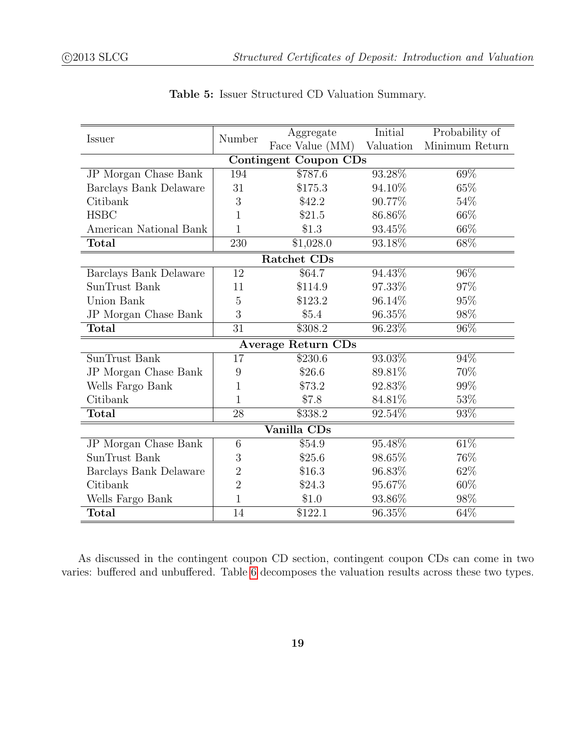<span id="page-18-0"></span>

|                        | Number         | Aggregate                    | Initial   | Probability of |  |  |  |  |
|------------------------|----------------|------------------------------|-----------|----------------|--|--|--|--|
| Issuer                 |                | Face Value (MM)              | Valuation | Minimum Return |  |  |  |  |
|                        |                | <b>Contingent Coupon CDs</b> |           |                |  |  |  |  |
| JP Morgan Chase Bank   | 194            | \$787.6                      | 93.28%    | 69%            |  |  |  |  |
| Barclays Bank Delaware | 31             | \$175.3                      | 94.10%    | 65%            |  |  |  |  |
| Citibank               | 3              | \$42.2                       | 90.77%    | 54%            |  |  |  |  |
| <b>HSBC</b>            | 1              | \$21.5                       | 86.86%    | 66\%           |  |  |  |  |
| American National Bank | 1              | \$1.3                        | 93.45%    | 66%            |  |  |  |  |
| Total                  | 230            | \$1,028.0                    | 93.18%    | 68%            |  |  |  |  |
|                        |                | Ratchet CDs                  |           |                |  |  |  |  |
| Barclays Bank Delaware | 12             | \$64.7                       | 94.43%    | 96%            |  |  |  |  |
| SunTrust Bank          | 11             | \$114.9                      | 97.33%    | 97%            |  |  |  |  |
| Union Bank             | 5              | \$123.2                      | 96.14%    | 95%            |  |  |  |  |
| JP Morgan Chase Bank   | 3              | \$5.4                        | 96.35%    | 98%            |  |  |  |  |
| Total                  | 31             | \$308.2                      | 96.23%    | $96\%$         |  |  |  |  |
|                        |                | <b>Average Return CDs</b>    |           |                |  |  |  |  |
| SunTrust Bank          | 17             | \$230.6                      | 93.03%    | 94%            |  |  |  |  |
| JP Morgan Chase Bank   | 9              | \$26.6                       | 89.81%    | 70%            |  |  |  |  |
| Wells Fargo Bank       | 1              | \$73.2                       | 92.83%    | 99%            |  |  |  |  |
| Citibank               | 1              | \$7.8                        | 84.81%    | $53\%$         |  |  |  |  |
| Total                  | 28             | \$338.2                      | 92.54%    | $93\%$         |  |  |  |  |
| Vanilla CDs            |                |                              |           |                |  |  |  |  |
| JP Morgan Chase Bank   | 6              | \$54.9                       | 95.48%    | 61\%           |  |  |  |  |
| SunTrust Bank          | 3              | \$25.6                       | 98.65%    | 76%            |  |  |  |  |
| Barclays Bank Delaware | $\overline{2}$ | \$16.3                       | 96.83%    | 62\%           |  |  |  |  |
| Citibank               | $\overline{2}$ | \$24.3                       | 95.67%    | 60%            |  |  |  |  |
| Wells Fargo Bank       | $\overline{1}$ | \$1.0                        | 93.86%    | 98\%           |  |  |  |  |
| <b>Total</b>           | 14             | \$122.1                      | 96.35%    | 64\%           |  |  |  |  |

#### Table 5: Issuer Structured CD Valuation Summary.

As discussed in the contingent coupon CD section, contingent coupon CDs can come in two varies: buffered and unbuffered. Table [6](#page-19-0) decomposes the valuation results across these two types.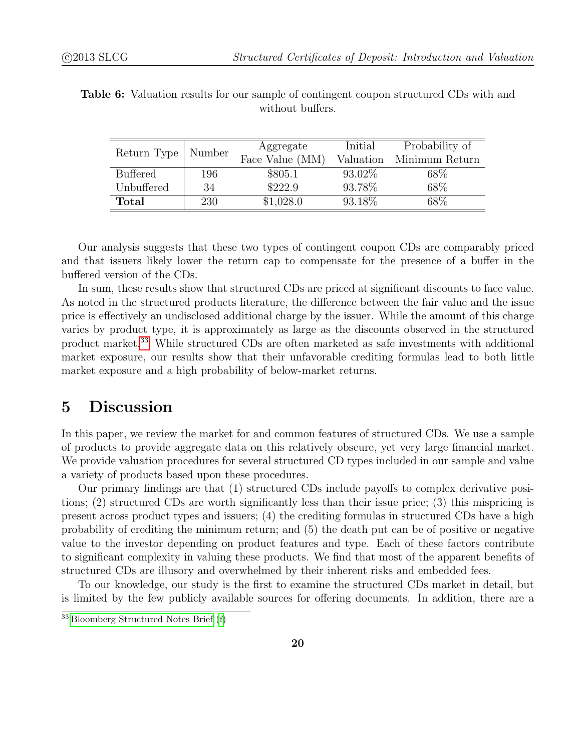|                 |        | Aggregate       | Initial   | Probability of |
|-----------------|--------|-----------------|-----------|----------------|
| Return Type     | Number | Face Value (MM) | Valuation | Minimum Return |
| <b>Buffered</b> | 196    | \$805.1         | 93.02\%   | 68\%           |
| Unbuffered      | 34     | \$222.9         | 93.78%    | 68%            |
| Total           | 230    | \$1,028.0       | 93.18%    | 68\%           |

<span id="page-19-0"></span>

|  |  |                  | <b>Table 6:</b> Valuation results for our sample of contingent coupon structured CDs with and |  |  |  |
|--|--|------------------|-----------------------------------------------------------------------------------------------|--|--|--|
|  |  | without buffers. |                                                                                               |  |  |  |

Our analysis suggests that these two types of contingent coupon CDs are comparably priced and that issuers likely lower the return cap to compensate for the presence of a buffer in the buffered version of the CDs.

In sum, these results show that structured CDs are priced at significant discounts to face value. As noted in the structured products literature, the difference between the fair value and the issue price is effectively an undisclosed additional charge by the issuer. While the amount of this charge varies by product type, it is approximately as large as the discounts observed in the structured product market.[33](#page-0-0) While structured CDs are often marketed as safe investments with additional market exposure, our results show that their unfavorable crediting formulas lead to both little market exposure and a high probability of below-market returns.

### 5 Discussion

In this paper, we review the market for and common features of structured CDs. We use a sample of products to provide aggregate data on this relatively obscure, yet very large financial market. We provide valuation procedures for several structured CD types included in our sample and value a variety of products based upon these procedures.

Our primary findings are that (1) structured CDs include payoffs to complex derivative positions; (2) structured CDs are worth significantly less than their issue price; (3) this mispricing is present across product types and issuers; (4) the crediting formulas in structured CDs have a high probability of crediting the minimum return; and (5) the death put can be of positive or negative value to the investor depending on product features and type. Each of these factors contribute to significant complexity in valuing these products. We find that most of the apparent benefits of structured CDs are illusory and overwhelmed by their inherent risks and embedded fees.

To our knowledge, our study is the first to examine the structured CDs market in detail, but is limited by the few publicly available sources for offering documents. In addition, there are a

<sup>33</sup> [Bloomberg Structured Notes Brief](#page-20-8) [\(f\)](#page-20-8)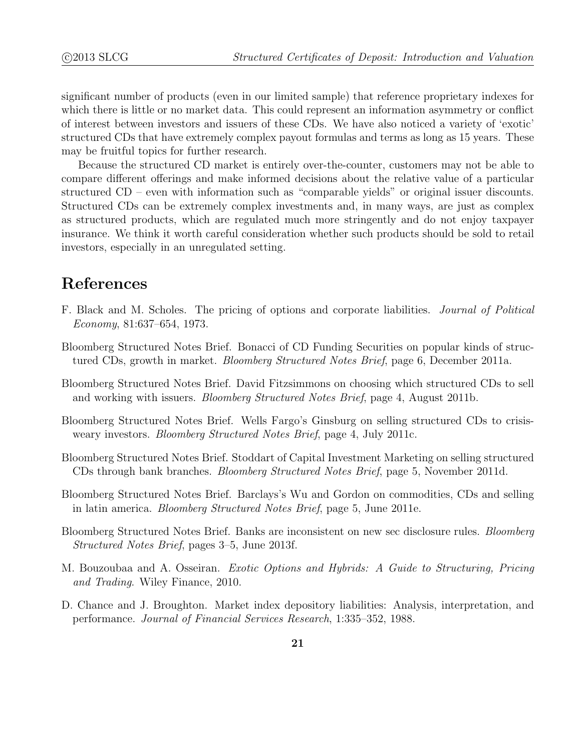significant number of products (even in our limited sample) that reference proprietary indexes for which there is little or no market data. This could represent an information asymmetry or conflict of interest between investors and issuers of these CDs. We have also noticed a variety of 'exotic' structured CDs that have extremely complex payout formulas and terms as long as 15 years. These may be fruitful topics for further research.

Because the structured CD market is entirely over-the-counter, customers may not be able to compare different offerings and make informed decisions about the relative value of a particular structured CD – even with information such as "comparable yields" or original issuer discounts. Structured CDs can be extremely complex investments and, in many ways, are just as complex as structured products, which are regulated much more stringently and do not enjoy taxpayer insurance. We think it worth careful consideration whether such products should be sold to retail investors, especially in an unregulated setting.

### References

- <span id="page-20-6"></span>F. Black and M. Scholes. The pricing of options and corporate liabilities. Journal of Political Economy, 81:637–654, 1973.
- <span id="page-20-1"></span>Bloomberg Structured Notes Brief. Bonacci of CD Funding Securities on popular kinds of structured CDs, growth in market. Bloomberg Structured Notes Brief, page 6, December 2011a.
- <span id="page-20-0"></span>Bloomberg Structured Notes Brief. David Fitzsimmons on choosing which structured CDs to sell and working with issuers. Bloomberg Structured Notes Brief, page 4, August 2011b.
- <span id="page-20-2"></span>Bloomberg Structured Notes Brief. Wells Fargo's Ginsburg on selling structured CDs to crisisweary investors. Bloomberg Structured Notes Brief, page 4, July 2011c.
- <span id="page-20-3"></span>Bloomberg Structured Notes Brief. Stoddart of Capital Investment Marketing on selling structured CDs through bank branches. Bloomberg Structured Notes Brief, page 5, November 2011d.
- <span id="page-20-4"></span>Bloomberg Structured Notes Brief. Barclays's Wu and Gordon on commodities, CDs and selling in latin america. Bloomberg Structured Notes Brief, page 5, June 2011e.
- <span id="page-20-8"></span>Bloomberg Structured Notes Brief. Banks are inconsistent on new sec disclosure rules. Bloomberg Structured Notes Brief, pages 3–5, June 2013f.
- <span id="page-20-7"></span>M. Bouzoubaa and A. Osseiran. Exotic Options and Hybrids: A Guide to Structuring, Pricing and Trading. Wiley Finance, 2010.
- <span id="page-20-5"></span>D. Chance and J. Broughton. Market index depository liabilities: Analysis, interpretation, and performance. Journal of Financial Services Research, 1:335–352, 1988.